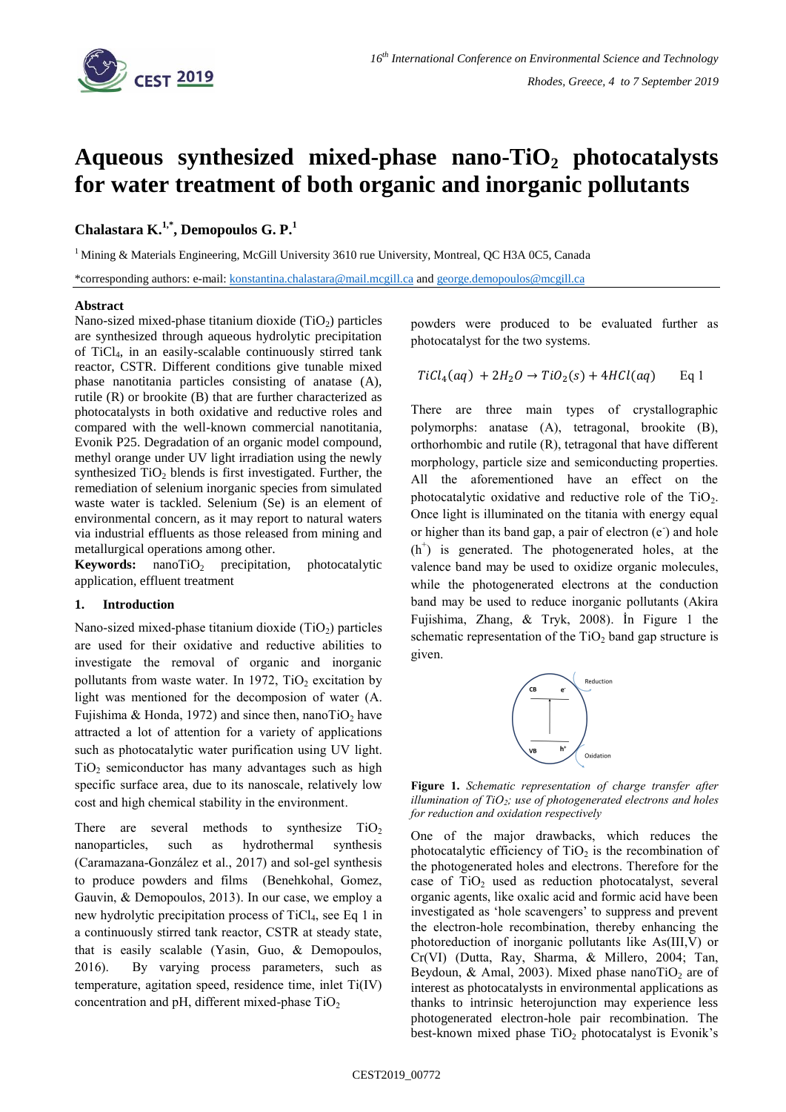

# **Aqueous synthesized mixed-phase nano-TiO<sup>2</sup> photocatalysts for water treatment of both organic and inorganic pollutants**

## **Chalastara K. 1,\* , Demopoulos G. P.<sup>1</sup>**

<sup>1</sup> Mining & Materials Engineering, McGill University 3610 rue University, Montreal, QC H3A 0C5, Canada

\*corresponding authors: e-mail: [konstantina.chalastara@mail.mcgill.ca](mailto:konstantina.chalastara@mail.mcgill.ca) and [george.demopoulos@mcgill.ca](mailto:george.demopoulos@mcgill.ca)

### **Abstract**

Nano-sized mixed-phase titanium dioxide  $(TiO<sub>2</sub>)$  particles are synthesized through aqueous hydrolytic precipitation of TiCl4, in an easily-scalable continuously stirred tank reactor, CSTR. Different conditions give tunable mixed phase nanotitania particles consisting of anatase (A), rutile (R) or brookite (B) that are further characterized as photocatalysts in both oxidative and reductive roles and compared with the well-known commercial nanotitania, Evonik P25. Degradation of an organic model compound, methyl orange under UV light irradiation using the newly synthesized  $TiO<sub>2</sub>$  blends is first investigated. Further, the remediation of selenium inorganic species from simulated waste water is tackled. Selenium (Se) is an element of environmental concern, as it may report to natural waters via industrial effluents as those released from mining and metallurgical operations among other.

**Keywords:** nanoTiO<sub>2</sub> precipitation, photocatalytic application, effluent treatment

## **1. Introduction**

Nano-sized mixed-phase titanium dioxide  $(TiO<sub>2</sub>)$  particles are used for their oxidative and reductive abilities to investigate the removal of organic and inorganic pollutants from waste water. In 1972, TiO<sub>2</sub> excitation by light was mentioned for the decomposion of water (A. Fujishima & Honda, 1972) and since then, nanoTiO<sub>2</sub> have attracted a lot of attention for a variety of applications such as photocatalytic water purification using UV light.  $TiO<sub>2</sub>$  semiconductor has many advantages such as high specific surface area, due to its nanoscale, relatively low cost and high chemical stability in the environment.

There are several methods to synthesize  $TiO<sub>2</sub>$ nanoparticles, such as hydrothermal synthesis (Caramazana-González et al., 2017) and sol-gel synthesis to produce powders and films (Benehkohal, Gomez, Gauvin, & Demopoulos, 2013). In our case, we employ a new hydrolytic precipitation process of TiCl<sub>4</sub>, see [Eq](#page-0-0) 1 in a continuously stirred tank reactor, CSTR at steady state, that is easily scalable (Yasin, Guo, & Demopoulos, 2016). By varying process parameters, such as temperature, agitation speed, residence time, inlet Ti(IV) concentration and pH, different mixed-phase  $TiO<sub>2</sub>$ 

powders were produced to be evaluated further as photocatalyst for the two systems.

<span id="page-0-0"></span>
$$
TiCl4(aq) + 2H2O \rightarrow TiO2(s) + 4HCl(aq) \qquad Eq 1
$$

There are three main types of crystallographic polymorphs: anatase (A), tetragonal, brookite (B), orthorhombic and rutile (R), tetragonal that have different morphology, particle size and semiconducting properties. All the aforementioned have an effect on the photocatalytic oxidative and reductive role of the  $TiO<sub>2</sub>$ . Once light is illuminated on the titania with energy equal or higher than its band gap, a pair of electron  $(e<sup>o</sup>)$  and hole  $(h<sup>+</sup>)$  is generated. The photogenerated holes, at the valence band may be used to oxidize organic molecules, while the photogenerated electrons at the conduction band may be used to reduce inorganic pollutants (Akira Fujishima, Zhang, & Tryk, 2008). İn [Figure 1](#page-0-1) the schematic representation of the  $TiO<sub>2</sub>$  band gap structure is given.



<span id="page-0-1"></span>**Figure 1.** *Schematic representation of charge transfer after illumination of TiO<sup>2</sup> ; use of photogenerated electrons and holes for reduction and oxidation respectively*

One of the major drawbacks, which reduces the photocatalytic efficiency of  $TiO<sub>2</sub>$  is the recombination of the photogenerated holes and electrons. Therefore for the case of  $TiO<sub>2</sub>$  used as reduction photocatalyst, several organic agents, like oxalic acid and formic acid have been investigated as 'hole scavengers' to suppress and prevent the electron-hole recombination, thereby enhancing the photoreduction of inorganic pollutants like As(III,V) or Cr(VI) (Dutta, Ray, Sharma, & Millero, 2004; Tan, Beydoun, & Amal, 2003). Mixed phase nanoTiO<sub>2</sub> are of interest as photocatalysts in environmental applications as thanks to intrinsic heterojunction may experience less photogenerated electron-hole pair recombination. The best-known mixed phase  $TiO<sub>2</sub>$  photocatalyst is Evonik's